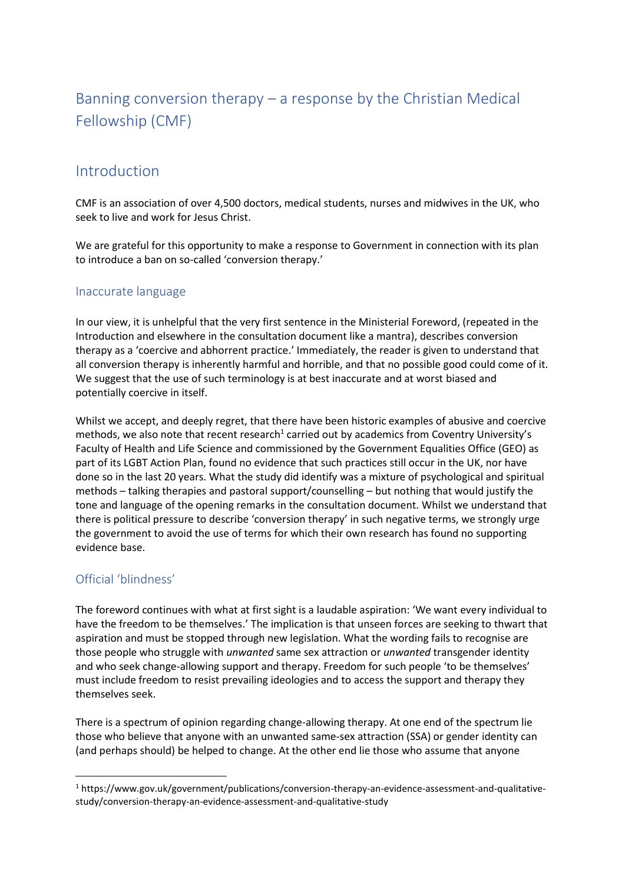# Banning conversion therapy – a response by the Christian Medical Fellowship (CMF)

# Introduction

CMF is an association of over 4,500 doctors, medical students, nurses and midwives in the UK, who seek to live and work for Jesus Christ.

We are grateful for this opportunity to make a response to Government in connection with its plan to introduce a ban on so-called 'conversion therapy.'

### Inaccurate language

In our view, it is unhelpful that the very first sentence in the Ministerial Foreword, (repeated in the Introduction and elsewhere in the consultation document like a mantra), describes conversion therapy as a 'coercive and abhorrent practice.' Immediately, the reader is given to understand that all conversion therapy is inherently harmful and horrible, and that no possible good could come of it. We suggest that the use of such terminology is at best inaccurate and at worst biased and potentially coercive in itself.

Whilst we accept, and deeply regret, that there have been historic examples of abusive and coercive methods, we also note that recent research<sup>1</sup> carried out by academics from Coventry University's Faculty of Health and Life Science and commissioned by the Government Equalities Office (GEO) as part of its LGBT Action Plan, found no evidence that such practices still occur in the UK, nor have done so in the last 20 years. What the study did identify was a mixture of psychological and spiritual methods – talking therapies and pastoral support/counselling – but nothing that would justify the tone and language of the opening remarks in the consultation document. Whilst we understand that there is political pressure to describe 'conversion therapy' in such negative terms, we strongly urge the government to avoid the use of terms for which their own research has found no supporting evidence base.

# Official 'blindness'

The foreword continues with what at first sight is a laudable aspiration: 'We want every individual to have the freedom to be themselves.' The implication is that unseen forces are seeking to thwart that aspiration and must be stopped through new legislation. What the wording fails to recognise are those people who struggle with *unwanted* same sex attraction or *unwanted* transgender identity and who seek change-allowing support and therapy. Freedom for such people 'to be themselves' must include freedom to resist prevailing ideologies and to access the support and therapy they themselves seek.

There is a spectrum of opinion regarding change-allowing therapy. At one end of the spectrum lie those who believe that anyone with an unwanted same-sex attraction (SSA) or gender identity can (and perhaps should) be helped to change. At the other end lie those who assume that anyone

 $1$  https://www.gov.uk/government/publications/conversion-therapy-an-evidence-assessment-and-qualitativestudy/conversion-therapy-an-evidence-assessment-and-qualitative-study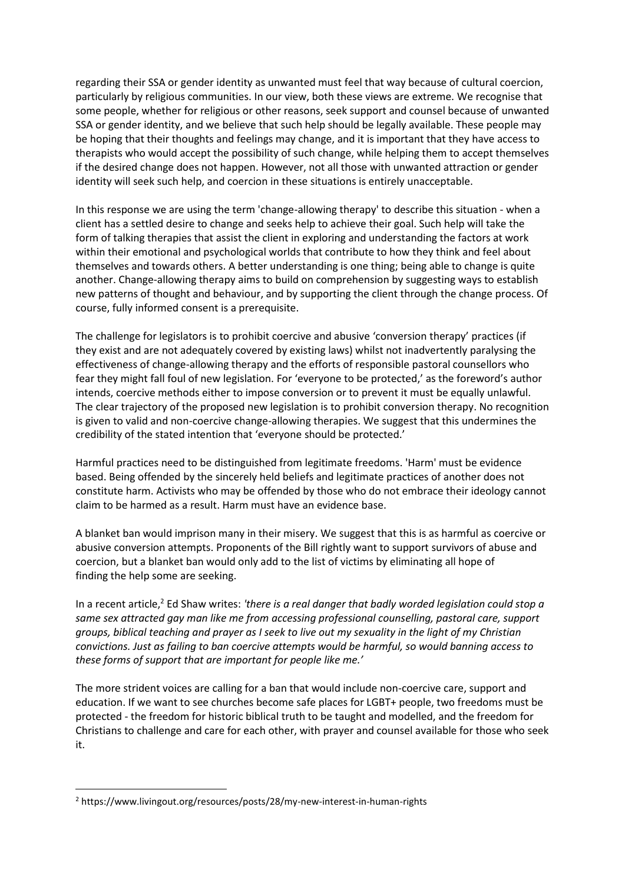regarding their SSA or gender identity as unwanted must feel that way because of cultural coercion, particularly by religious communities. In our view, both these views are extreme. We recognise that some people, whether for religious or other reasons, seek support and counsel because of unwanted SSA or gender identity, and we believe that such help should be legally available. These people may be hoping that their thoughts and feelings may change, and it is important that they have access to therapists who would accept the possibility of such change, while helping them to accept themselves if the desired change does not happen. However, not all those with unwanted attraction or gender identity will seek such help, and coercion in these situations is entirely unacceptable.

In this response we are using the term 'change-allowing therapy' to describe this situation - when a client has a settled desire to change and seeks help to achieve their goal. Such help will take the form of talking therapies that assist the client in exploring and understanding the factors at work within their emotional and psychological worlds that contribute to how they think and feel about themselves and towards others. A better understanding is one thing; being able to change is quite another. Change-allowing therapy aims to build on comprehension by suggesting ways to establish new patterns of thought and behaviour, and by supporting the client through the change process. Of course, fully informed consent is a prerequisite.

The challenge for legislators is to prohibit coercive and abusive 'conversion therapy' practices (if they exist and are not adequately covered by existing laws) whilst not inadvertently paralysing the effectiveness of change-allowing therapy and the efforts of responsible pastoral counsellors who fear they might fall foul of new legislation. For 'everyone to be protected,' as the foreword's author intends, coercive methods either to impose conversion or to prevent it must be equally unlawful. The clear trajectory of the proposed new legislation is to prohibit conversion therapy. No recognition is given to valid and non-coercive change-allowing therapies. We suggest that this undermines the credibility of the stated intention that 'everyone should be protected.'

Harmful practices need to be distinguished from legitimate freedoms. 'Harm' must be evidence based. Being offended by the sincerely held beliefs and legitimate practices of another does not constitute harm. Activists who may be offended by those who do not embrace their ideology cannot claim to be harmed as a result. Harm must have an evidence base.

A blanket ban would imprison many in their misery. We suggest that this is as harmful as coercive or abusive conversion attempts. Proponents of the Bill rightly want to support survivors of abuse and coercion, but a blanket ban would only add to the list of victims by eliminating all hope of finding the help some are seeking.

In a recent article,<sup>2</sup> Ed Shaw writes: 'there is a real danger that badly worded legislation could stop a *same sex attracted gay man like me from accessing professional counselling, pastoral care, support groups, biblical teaching and prayer as I seek to live out my sexuality in the light of my Christian convictions. Just as failing to ban coercive attempts would be harmful, so would banning access to these forms of support that are important for people like me.'*

The more strident voices are calling for a ban that would include non-coercive care, support and education. If we want to see churches become safe places for LGBT+ people, two freedoms must be protected - the freedom for historic biblical truth to be taught and modelled, and the freedom for Christians to challenge and care for each other, with prayer and counsel available for those who seek it.

<sup>2</sup> https://www.livingout.org/resources/posts/28/my-new-interest-in-human-rights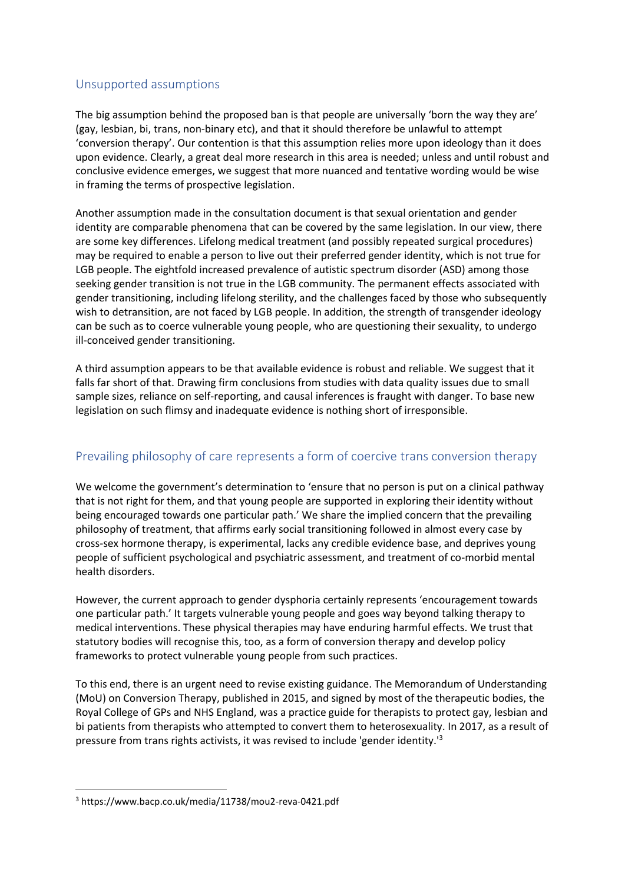## Unsupported assumptions

The big assumption behind the proposed ban is that people are universally 'born the way they are' (gay, lesbian, bi, trans, non-binary etc), and that it should therefore be unlawful to attempt 'conversion therapy'. Our contention is that this assumption relies more upon ideology than it does upon evidence. Clearly, a great deal more research in this area is needed; unless and until robust and conclusive evidence emerges, we suggest that more nuanced and tentative wording would be wise in framing the terms of prospective legislation.

Another assumption made in the consultation document is that sexual orientation and gender identity are comparable phenomena that can be covered by the same legislation. In our view, there are some key differences. Lifelong medical treatment (and possibly repeated surgical procedures) may be required to enable a person to live out their preferred gender identity, which is not true for LGB people. The eightfold increased prevalence of autistic spectrum disorder (ASD) among those seeking gender transition is not true in the LGB community. The permanent effects associated with gender transitioning, including lifelong sterility, and the challenges faced by those who subsequently wish to detransition, are not faced by LGB people. In addition, the strength of transgender ideology can be such as to coerce vulnerable young people, who are questioning their sexuality, to undergo ill-conceived gender transitioning.

A third assumption appears to be that available evidence is robust and reliable. We suggest that it falls far short of that. Drawing firm conclusions from studies with data quality issues due to small sample sizes, reliance on self-reporting, and causal inferences is fraught with danger. To base new legislation on such flimsy and inadequate evidence is nothing short of irresponsible.

# Prevailing philosophy of care represents a form of coercive trans conversion therapy

We welcome the government's determination to 'ensure that no person is put on a clinical pathway that is not right for them, and that young people are supported in exploring their identity without being encouraged towards one particular path.' We share the implied concern that the prevailing philosophy of treatment, that affirms early social transitioning followed in almost every case by cross-sex hormone therapy, is experimental, lacks any credible evidence base, and deprives young people of sufficient psychological and psychiatric assessment, and treatment of co-morbid mental health disorders.

However, the current approach to gender dysphoria certainly represents 'encouragement towards one particular path.' It targets vulnerable young people and goes way beyond talking therapy to medical interventions. These physical therapies may have enduring harmful effects. We trust that statutory bodies will recognise this, too, as a form of conversion therapy and develop policy frameworks to protect vulnerable young people from such practices.

To this end, there is an urgent need to revise existing guidance. The Memorandum of Understanding (MoU) on Conversion Therapy, published in 2015, and signed by most of the therapeutic bodies, the Royal College of GPs and NHS England, was a practice guide for therapists to protect gay, lesbian and bi patients from therapists who attempted to convert them to heterosexuality. In 2017, as a result of pressure from trans rights activists, it was revised to include 'gender identity.'<sup>3</sup>

<sup>3</sup> https://www.bacp.co.uk/media/11738/mou2-reva-0421.pdf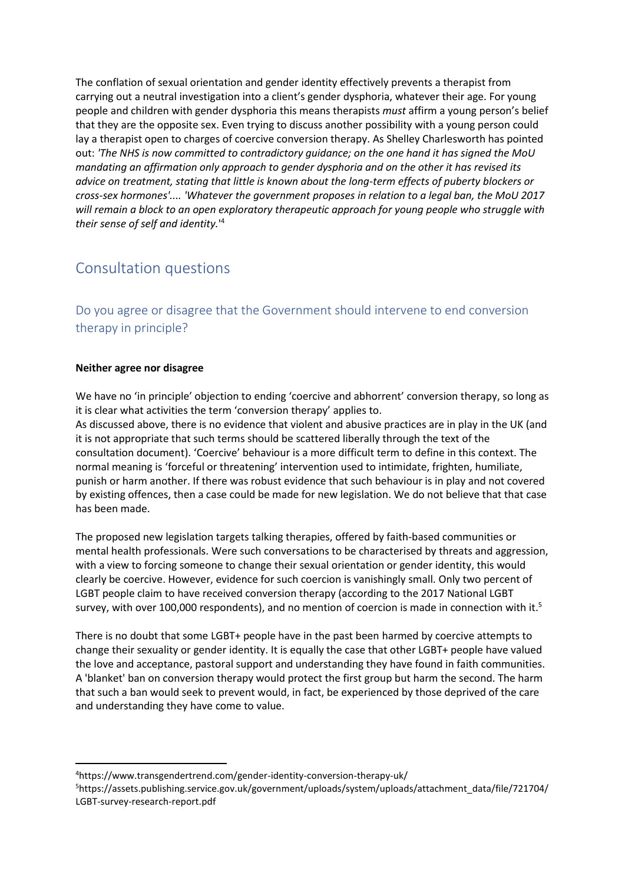The conflation of sexual orientation and gender identity effectively prevents a therapist from carrying out a neutral investigation into a client's gender dysphoria, whatever their age. For young people and children with gender dysphoria this means therapists *must* affirm a young person's belief that they are the opposite sex. Even trying to discuss another possibility with a young person could lay a therapist open to charges of coercive conversion therapy. As Shelley Charlesworth has pointed out: *'The NHS is now committed to contradictory guidance; on the one hand it has signed the MoU mandating an affirmation only approach to gender dysphoria and on the other it has revised its advice on treatment, stating that little is known about the long-term effects of puberty blockers or cross-sex hormones'.... 'Whatever the government proposes in relation to a legal ban, the MoU 2017 will remain a block to an open exploratory therapeutic approach for young people who struggle with their sense of self and identity.*' 4

# Consultation questions

Do you agree or disagree that the Government should intervene to end conversion therapy in principle?

### **Neither agree nor disagree**

We have no 'in principle' objection to ending 'coercive and abhorrent' conversion therapy, so long as it is clear what activities the term 'conversion therapy' applies to.

As discussed above, there is no evidence that violent and abusive practices are in play in the UK (and it is not appropriate that such terms should be scattered liberally through the text of the consultation document). 'Coercive' behaviour is a more difficult term to define in this context. The normal meaning is 'forceful or threatening' intervention used to intimidate, frighten, humiliate, punish or harm another. If there was robust evidence that such behaviour is in play and not covered by existing offences, then a case could be made for new legislation. We do not believe that that case has been made.

The proposed new legislation targets talking therapies, offered by faith-based communities or mental health professionals. Were such conversations to be characterised by threats and aggression, with a view to forcing someone to change their sexual orientation or gender identity, this would clearly be coercive. However, evidence for such coercion is vanishingly small. Only two percent of LGBT people claim to have received conversion therapy (according to the 2017 National LGBT survey, with over 100,000 respondents), and no mention of coercion is made in connection with it.<sup>5</sup>

There is no doubt that some LGBT+ people have in the past been harmed by coercive attempts to change their sexuality or gender identity. It is equally the case that other LGBT+ people have valued the love and acceptance, pastoral support and understanding they have found in faith communities. A 'blanket' ban on conversion therapy would protect the first group but harm the second. The harm that such a ban would seek to prevent would, in fact, be experienced by those deprived of the care and understanding they have come to value.

<sup>4</sup>https://www.transgendertrend.com/gender-identity-conversion-therapy-uk/

<sup>5</sup>https://assets.publishing.service.gov.uk/government/uploads/system/uploads/attachment\_data/file/721704/ LGBT-survey-research-report.pdf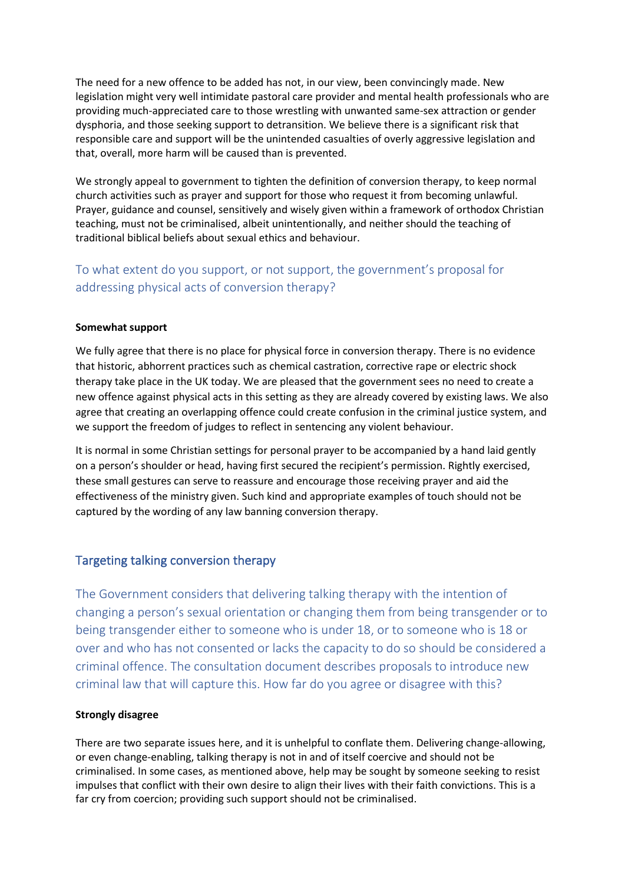The need for a new offence to be added has not, in our view, been convincingly made. New legislation might very well intimidate pastoral care provider and mental health professionals who are providing much-appreciated care to those wrestling with unwanted same-sex attraction or gender dysphoria, and those seeking support to detransition. We believe there is a significant risk that responsible care and support will be the unintended casualties of overly aggressive legislation and that, overall, more harm will be caused than is prevented.

We strongly appeal to government to tighten the definition of conversion therapy, to keep normal church activities such as prayer and support for those who request it from becoming unlawful. Prayer, guidance and counsel, sensitively and wisely given within a framework of orthodox Christian teaching, must not be criminalised, albeit unintentionally, and neither should the teaching of traditional biblical beliefs about sexual ethics and behaviour.

# To what extent do you support, or not support, the government's proposal for addressing physical acts of conversion therapy?

### **Somewhat support**

We fully agree that there is no place for physical force in conversion therapy. There is no evidence that historic, abhorrent practices such as chemical castration, corrective rape or electric shock therapy take place in the UK today. We are pleased that the government sees no need to create a new offence against physical acts in this setting as they are already covered by existing laws. We also agree that creating an overlapping offence could create confusion in the criminal justice system, and we support the freedom of judges to reflect in sentencing any violent behaviour.

It is normal in some Christian settings for personal prayer to be accompanied by a hand laid gently on a person's shoulder or head, having first secured the recipient's permission. Rightly exercised, these small gestures can serve to reassure and encourage those receiving prayer and aid the effectiveness of the ministry given. Such kind and appropriate examples of touch should not be captured by the wording of any law banning conversion therapy.

### Targeting talking conversion therapy

The Government considers that delivering talking therapy with the intention of changing a person's sexual orientation or changing them from being transgender or to being transgender either to someone who is under 18, or to someone who is 18 or over and who has not consented or lacks the capacity to do so should be considered a criminal offence. The consultation document describes proposals to introduce new criminal law that will capture this. How far do you agree or disagree with this?

### **Strongly disagree**

There are two separate issues here, and it is unhelpful to conflate them. Delivering change-allowing, or even change-enabling, talking therapy is not in and of itself coercive and should not be criminalised. In some cases, as mentioned above, help may be sought by someone seeking to resist impulses that conflict with their own desire to align their lives with their faith convictions. This is a far cry from coercion; providing such support should not be criminalised.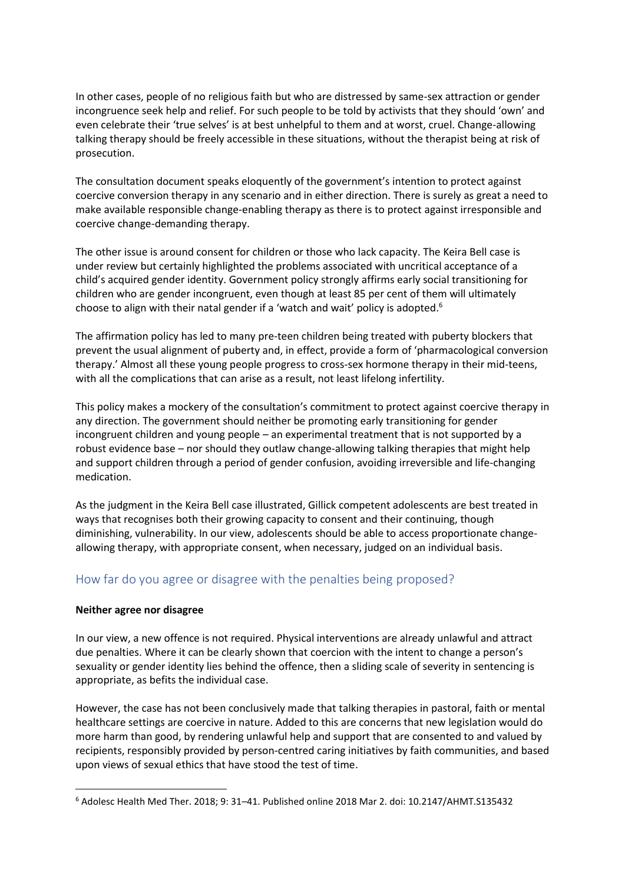In other cases, people of no religious faith but who are distressed by same-sex attraction or gender incongruence seek help and relief. For such people to be told by activists that they should 'own' and even celebrate their 'true selves' is at best unhelpful to them and at worst, cruel. Change-allowing talking therapy should be freely accessible in these situations, without the therapist being at risk of prosecution.

The consultation document speaks eloquently of the government's intention to protect against coercive conversion therapy in any scenario and in either direction. There is surely as great a need to make available responsible change-enabling therapy as there is to protect against irresponsible and coercive change-demanding therapy.

The other issue is around consent for children or those who lack capacity. The Keira Bell case is under review but certainly highlighted the problems associated with uncritical acceptance of a child's acquired gender identity. Government policy strongly affirms early social transitioning for children who are gender incongruent, even though at least 85 per cent of them will ultimately choose to align with their natal gender if a 'watch and wait' policy is adopted.<sup>6</sup>

The affirmation policy has led to many pre-teen children being treated with puberty blockers that prevent the usual alignment of puberty and, in effect, provide a form of 'pharmacological conversion therapy.' Almost all these young people progress to cross-sex hormone therapy in their mid-teens, with all the complications that can arise as a result, not least lifelong infertility.

This policy makes a mockery of the consultation's commitment to protect against coercive therapy in any direction. The government should neither be promoting early transitioning for gender incongruent children and young people – an experimental treatment that is not supported by a robust evidence base – nor should they outlaw change-allowing talking therapies that might help and support children through a period of gender confusion, avoiding irreversible and life-changing medication.

As the judgment in the Keira Bell case illustrated, Gillick competent adolescents are best treated in ways that recognises both their growing capacity to consent and their continuing, though diminishing, vulnerability. In our view, adolescents should be able to access proportionate changeallowing therapy, with appropriate consent, when necessary, judged on an individual basis.

### How far do you agree or disagree with the penalties being proposed?

### **Neither agree nor disagree**

In our view, a new offence is not required. Physical interventions are already unlawful and attract due penalties. Where it can be clearly shown that coercion with the intent to change a person's sexuality or gender identity lies behind the offence, then a sliding scale of severity in sentencing is appropriate, as befits the individual case.

However, the case has not been conclusively made that talking therapies in pastoral, faith or mental healthcare settings are coercive in nature. Added to this are concerns that new legislation would do more harm than good, by rendering unlawful help and support that are consented to and valued by recipients, responsibly provided by person-centred caring initiatives by faith communities, and based upon views of sexual ethics that have stood the test of time.

<sup>6</sup> Adolesc Health Med Ther. 2018; 9: 31–41. Published online 2018 Mar 2. doi: 10.2147/AHMT.S135432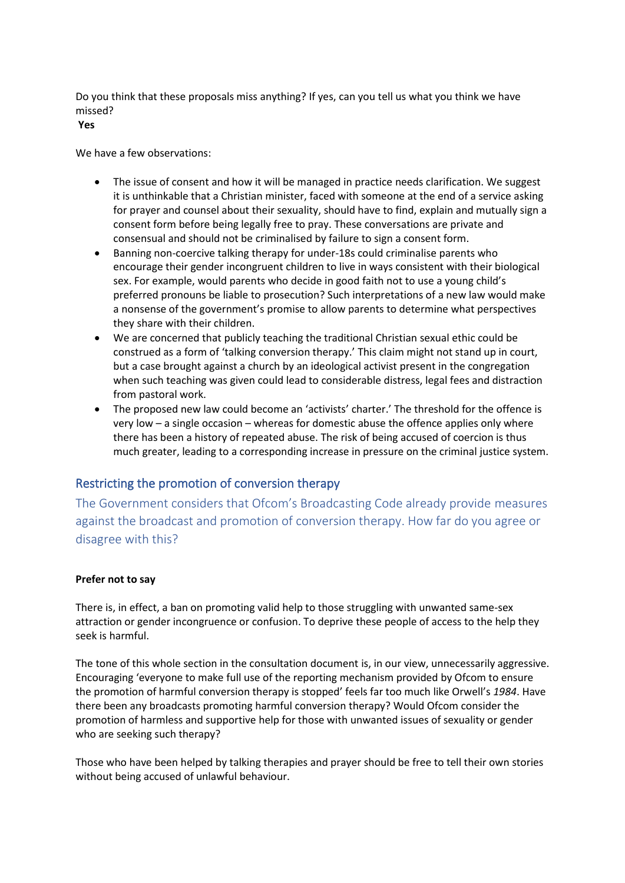Do you think that these proposals miss anything? If yes, can you tell us what you think we have missed?

**Yes**

We have a few observations:

- The issue of consent and how it will be managed in practice needs clarification. We suggest it is unthinkable that a Christian minister, faced with someone at the end of a service asking for prayer and counsel about their sexuality, should have to find, explain and mutually sign a consent form before being legally free to pray. These conversations are private and consensual and should not be criminalised by failure to sign a consent form.
- Banning non-coercive talking therapy for under-18s could criminalise parents who encourage their gender incongruent children to live in ways consistent with their biological sex. For example, would parents who decide in good faith not to use a young child's preferred pronouns be liable to prosecution? Such interpretations of a new law would make a nonsense of the government's promise to allow parents to determine what perspectives they share with their children.
- We are concerned that publicly teaching the traditional Christian sexual ethic could be construed as a form of 'talking conversion therapy.' This claim might not stand up in court, but a case brought against a church by an ideological activist present in the congregation when such teaching was given could lead to considerable distress, legal fees and distraction from pastoral work.
- The proposed new law could become an 'activists' charter.' The threshold for the offence is very low – a single occasion – whereas for domestic abuse the offence applies only where there has been a history of repeated abuse. The risk of being accused of coercion is thus much greater, leading to a corresponding increase in pressure on the criminal justice system.

# Restricting the promotion of conversion therapy

The Government considers that Ofcom's Broadcasting Code already provide measures against the broadcast and promotion of conversion therapy. How far do you agree or disagree with this?

### **Prefer not to say**

There is, in effect, a ban on promoting valid help to those struggling with unwanted same-sex attraction or gender incongruence or confusion. To deprive these people of access to the help they seek is harmful.

The tone of this whole section in the consultation document is, in our view, unnecessarily aggressive. Encouraging 'everyone to make full use of the reporting mechanism provided by Ofcom to ensure the promotion of harmful conversion therapy is stopped' feels far too much like Orwell's *1984*. Have there been any broadcasts promoting harmful conversion therapy? Would Ofcom consider the promotion of harmless and supportive help for those with unwanted issues of sexuality or gender who are seeking such therapy?

Those who have been helped by talking therapies and prayer should be free to tell their own stories without being accused of unlawful behaviour.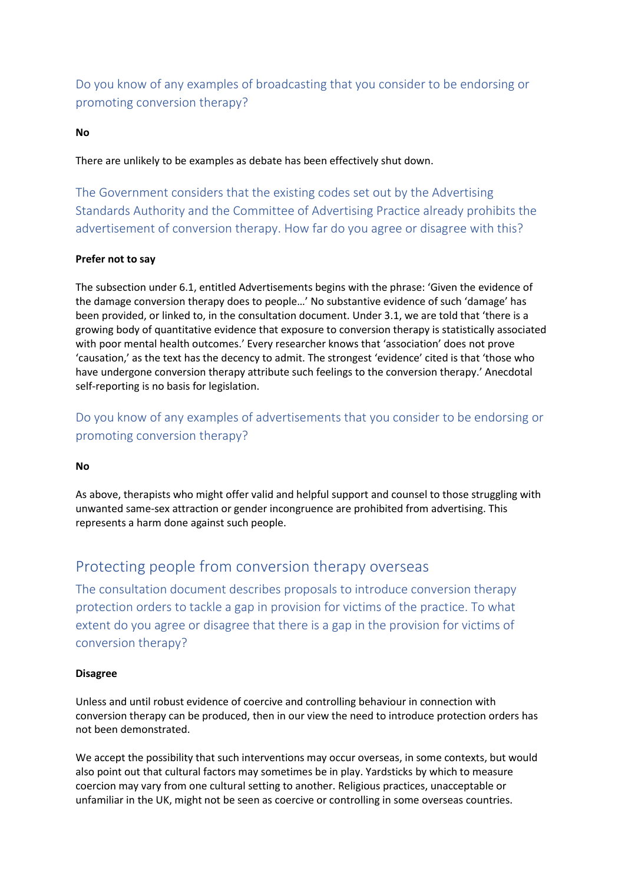Do you know of any examples of broadcasting that you consider to be endorsing or promoting conversion therapy?

### **No**

There are unlikely to be examples as debate has been effectively shut down.

The Government considers that the existing codes set out by the Advertising Standards Authority and the Committee of Advertising Practice already prohibits the advertisement of conversion therapy. How far do you agree or disagree with this?

#### **Prefer not to say**

The subsection under 6.1, entitled Advertisements begins with the phrase: 'Given the evidence of the damage conversion therapy does to people…' No substantive evidence of such 'damage' has been provided, or linked to, in the consultation document. Under 3.1, we are told that 'there is a growing body of quantitative evidence that exposure to conversion therapy is statistically associated with poor mental health outcomes.' Every researcher knows that 'association' does not prove 'causation,' as the text has the decency to admit. The strongest 'evidence' cited is that 'those who have undergone conversion therapy attribute such feelings to the conversion therapy.' Anecdotal self-reporting is no basis for legislation.

Do you know of any examples of advertisements that you consider to be endorsing or promoting conversion therapy?

#### **No**

As above, therapists who might offer valid and helpful support and counsel to those struggling with unwanted same-sex attraction or gender incongruence are prohibited from advertising. This represents a harm done against such people.

## Protecting people from conversion therapy overseas

The consultation document describes proposals to introduce conversion therapy protection orders to tackle a gap in provision for victims of the practice. To what extent do you agree or disagree that there is a gap in the provision for victims of conversion therapy?

#### **Disagree**

Unless and until robust evidence of coercive and controlling behaviour in connection with conversion therapy can be produced, then in our view the need to introduce protection orders has not been demonstrated.

We accept the possibility that such interventions may occur overseas, in some contexts, but would also point out that cultural factors may sometimes be in play. Yardsticks by which to measure coercion may vary from one cultural setting to another. Religious practices, unacceptable or unfamiliar in the UK, might not be seen as coercive or controlling in some overseas countries.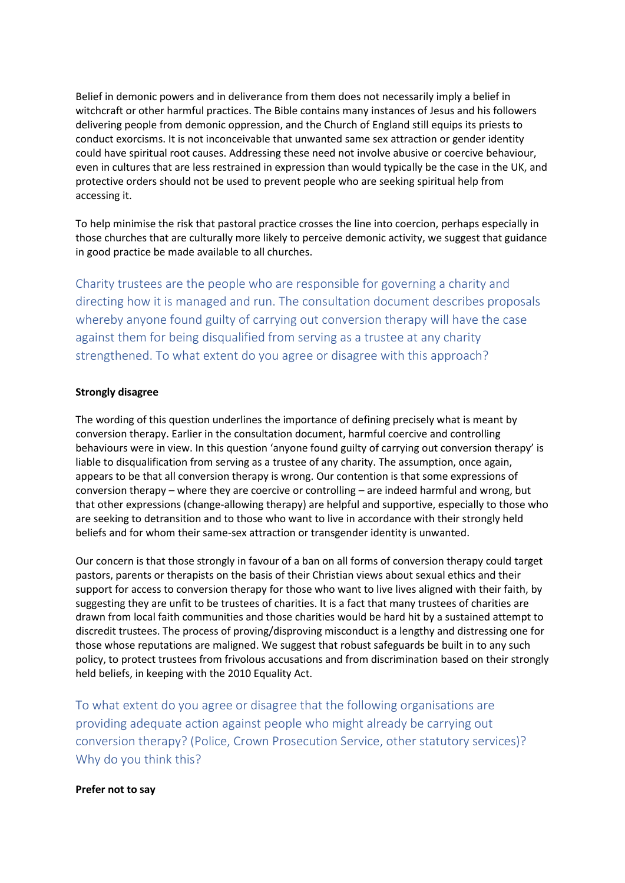Belief in demonic powers and in deliverance from them does not necessarily imply a belief in witchcraft or other harmful practices. The Bible contains many instances of Jesus and his followers delivering people from demonic oppression, and the Church of England still equips its priests to conduct exorcisms. It is not inconceivable that unwanted same sex attraction or gender identity could have spiritual root causes. Addressing these need not involve abusive or coercive behaviour, even in cultures that are less restrained in expression than would typically be the case in the UK, and protective orders should not be used to prevent people who are seeking spiritual help from accessing it.

To help minimise the risk that pastoral practice crosses the line into coercion, perhaps especially in those churches that are culturally more likely to perceive demonic activity, we suggest that guidance in good practice be made available to all churches.

Charity trustees are the people who are responsible for governing a charity and directing how it is managed and run. The consultation document describes proposals whereby anyone found guilty of carrying out conversion therapy will have the case against them for being disqualified from serving as a trustee at any charity strengthened. To what extent do you agree or disagree with this approach?

#### **Strongly disagree**

The wording of this question underlines the importance of defining precisely what is meant by conversion therapy. Earlier in the consultation document, harmful coercive and controlling behaviours were in view. In this question 'anyone found guilty of carrying out conversion therapy' is liable to disqualification from serving as a trustee of any charity. The assumption, once again, appears to be that all conversion therapy is wrong. Our contention is that some expressions of conversion therapy – where they are coercive or controlling – are indeed harmful and wrong, but that other expressions (change-allowing therapy) are helpful and supportive, especially to those who are seeking to detransition and to those who want to live in accordance with their strongly held beliefs and for whom their same-sex attraction or transgender identity is unwanted.

Our concern is that those strongly in favour of a ban on all forms of conversion therapy could target pastors, parents or therapists on the basis of their Christian views about sexual ethics and their support for access to conversion therapy for those who want to live lives aligned with their faith, by suggesting they are unfit to be trustees of charities. It is a fact that many trustees of charities are drawn from local faith communities and those charities would be hard hit by a sustained attempt to discredit trustees. The process of proving/disproving misconduct is a lengthy and distressing one for those whose reputations are maligned. We suggest that robust safeguards be built in to any such policy, to protect trustees from frivolous accusations and from discrimination based on their strongly held beliefs, in keeping with the 2010 Equality Act.

To what extent do you agree or disagree that the following organisations are providing adequate action against people who might already be carrying out conversion therapy? (Police, Crown Prosecution Service, other statutory services)? Why do you think this?

#### **Prefer not to say**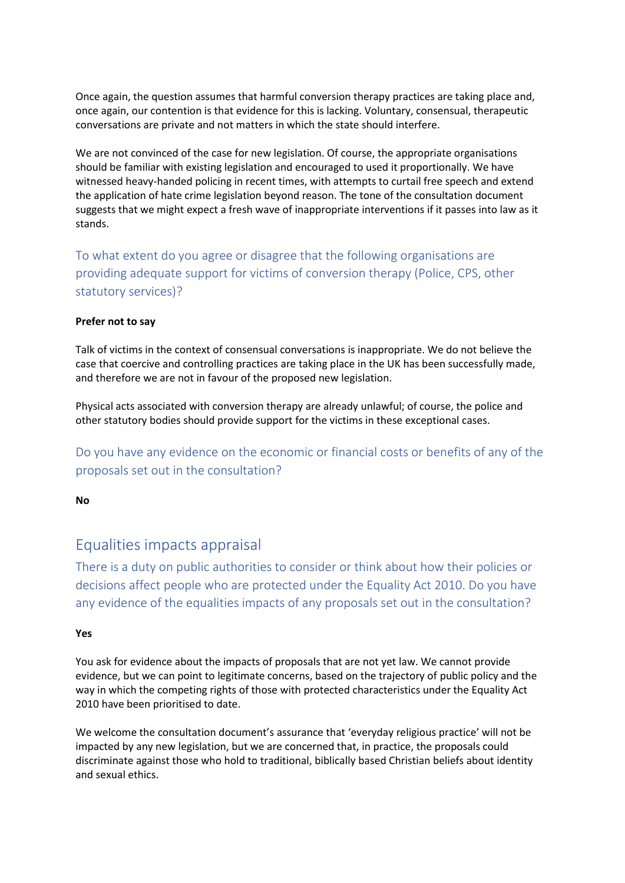Once again, the question assumes that harmful conversion therapy practices are taking place and, once again, our contention is that evidence for this is lacking. Voluntary, consensual, therapeutic conversations are private and not matters in which the state should interfere.

We are not convinced of the case for new legislation. Of course, the appropriate organisations should be familiar with existing legislation and encouraged to used it proportionally. We have witnessed heavy-handed policing in recent times, with attempts to curtail free speech and extend the application of hate crime legislation beyond reason. The tone of the consultation document suggests that we might expect a fresh wave of inappropriate interventions if it passes into law as it stands.

To what extent do you agree or disagree that the following organisations are providing adequate support for victims of conversion therapy (Police, CPS, other statutory services)?

### **Prefer not to say**

Talk of victims in the context of consensual conversations is inappropriate. We do not believe the case that coercive and controlling practices are taking place in the UK has been successfully made, and therefore we are not in favour of the proposed new legislation.

Physical acts associated with conversion therapy are already unlawful; of course, the police and other statutory bodies should provide support for the victims in these exceptional cases.

Do you have any evidence on the economic or financial costs or benefits of any of the proposals set out in the consultation?

**No**

# Equalities impacts appraisal

There is a duty on public authorities to consider or think about how their policies or decisions affect people who are protected under the Equality Act 2010. Do you have any evidence of the equalities impacts of any proposals set out in the consultation?

### **Yes**

You ask for evidence about the impacts of proposals that are not yet law. We cannot provide evidence, but we can point to legitimate concerns, based on the trajectory of public policy and the way in which the competing rights of those with protected characteristics under the Equality Act 2010 have been prioritised to date.

We welcome the consultation document's assurance that 'everyday religious practice' will not be impacted by any new legislation, but we are concerned that, in practice, the proposals could discriminate against those who hold to traditional, biblically based Christian beliefs about identity and sexual ethics.